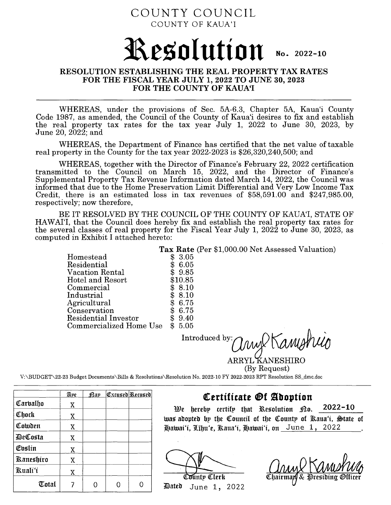## COUNTY COUNCIL COUNTY OF KAUA'I

# **l\,eso I ution** No. 2022-10

### **RESOLUTION ESTABLISHING THE REAL PROPERTY TAX RATES FOR THE FISCAL YEAR JULY 1, 2022 TO JUNE 30, 2023 FOR THE COUNTY OF KAUA'I**

WHEREAS, under the provisions of Sec. 5A-6.3, Chapter 5A, Kaua'i County Code 1987, as amended, the Council of the County of Kaua'i desires to fix and establish the real property tax rates for the tax year July 1, 2022 to June 30, 2023, by June 20, 2022; and

WHEREAS, the Department of Finance has certified that the net value of taxable real property in the County for the tax year 2022-2023 is \$26,320,240,500; and

WHEREAS, together with the Director of Finance's February 22, 2022 certification transmitted to the Council on March 15, 2022, and the Director of Finance's Supplemental Property Tax Revenue Information dated March 14, 2022, the Council was informed that due to the Home Preservation Limit Differential and Very Low Income Tax Credit, there is an estimated loss in tax revenues of \$58,591.00 and \$247,985.00, respectively; now therefore,

BE IT RESOLVED BY THE COUNCIL OF THE COUNTY OF KAUA'I, STATE OF HAW AI'I, that the Council does hereby fix and establish the real property tax rates for the several classes of real property for the Fiscal Year July 1, 2022 to June 30, 2023, as computed in Exhibit I attached hereto:

> Homestead **Tax Rate** (Per \$1,000.00 Net Assessed Valuation)  $$3.05$ <br> $$6.05$ Residential Vacation Rental Hotel and Resort Commercial Industrial Agricultural Conservation Residential Investor Commercialized Home Use \$ 6.05 \$ 9.85 \$10.85<br>\$8.10  $$8.10$ <br> $$8.10$  $$8.10$ <br> $$6.75$  $$6.75$ <br> $$6.75$ \$ 6.75 \$ 9.40 \$ 5.05

Introduced by: *(I nw X Kanual*)

ARRYL KANESHIRO (By Request)

V:\BUDGET\22-23 Budget Documents\Bills & Resolutions\Resolution No. 2022-10 FY 2022-2023 RPT Resolution SS\_dmc.doc

|                  | Ape | :Pap | <u> Excused Recused</u> |
|------------------|-----|------|-------------------------|
| Carbalho         | X   |      |                         |
| Chock            | Χ   |      |                         |
| Cowden           | Χ   |      |                         |
| DeCosta          | X   |      |                         |
| Evslin           | X   |      |                         |
| <b>Kaneshiro</b> | Χ   |      |                         |
| Kuali'i          | Χ   |      |                         |
| Total            |     |      |                         |

## **QCertfficatt @f ~boptfon**

We hereby certify that Resolution  $\mathcal{D}$ o. 2022-10 was adopted by the Council of the County of Raua'i, State of

 $\text{Dateb}$  June 1, 2022

Hawai'i, Līhu'e, Raua'i, Hawai'i, on June 1, 2022<br> **Anna Anna Anna Anna Anna Airesiding**<br>
Dated June 1, 2022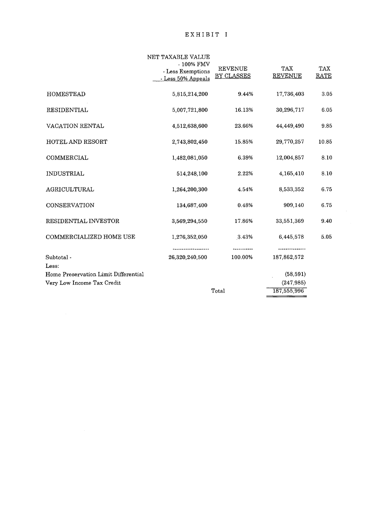#### EXHIBIT I

|                                               | NET TAXABLE VALUE<br>- 100% FMV<br>- Less Exemptions<br>- Less 50% Appeals | <b>REVENUE</b><br>BY CLASSES | <b>TAX</b><br><b>REVENUE</b> | TAX<br>RATE |
|-----------------------------------------------|----------------------------------------------------------------------------|------------------------------|------------------------------|-------------|
| <b>HOMESTEAD</b>                              | 5,815,214,200                                                              | 9.44%                        | 17,736,403                   | 3.05        |
| RESIDENTIAL                                   | 5,007,721,800                                                              | 16.13%                       | 30,296,717                   | 6.05        |
| VACATION RENTAL                               | 4,512,638,600                                                              | 23.66%                       | 44,449,490                   | 9.85        |
| <b>HOTEL AND RESORT</b>                       | 2,743,802,450                                                              | 15.85%                       | 29,770,257                   | 10.85       |
| COMMERCIAL                                    | 1,482,081,050                                                              | 6.39%                        | 12,004,857                   | 8.10        |
| <b>INDUSTRIAL</b>                             | 514,248,100                                                                | 2.22%                        | 4,165,410                    | 8.10        |
| AGRICULTURAL                                  | 1,264,200,300                                                              | 4.54%                        | 8,533,352                    | 6.75        |
| <b>CONSERVATION</b>                           | 134,687.400                                                                | 0.48%                        | 909,140                      | 6.75        |
| RESIDENTIAL INVESTOR                          | 3,569,294,550                                                              | 17.86%                       | 33,551,369                   | 9.40        |
| COMMERCIALIZED HOME USE                       | 1,276,352,050                                                              | 3.43%                        | 6,445,578                    | 5.05        |
| Subtotal -                                    | 26,320,240,500                                                             | 100.00%                      | 187,862,572                  |             |
| Less:<br>Home Preservation Limit Differential |                                                                            |                              | (58, 591)                    |             |
| Very Low Income Tax Credit                    |                                                                            |                              | (247, 985)                   |             |
|                                               | Total                                                                      | 187,555,996                  |                              |             |
|                                               |                                                                            |                              |                              |             |